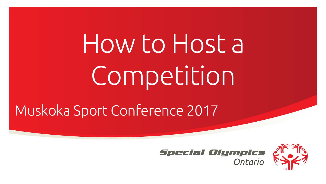How to Host a Competition

Muskoka Sport Conference 2017



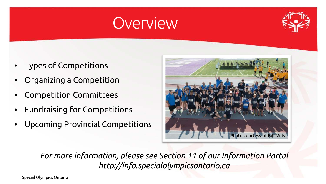### **Overview**



- Types of Competitions
- Organizing a Competition
- Competition Committees
- Fundraising for Competitions
- Upcoming Provincial Competitions



*For more information, please see Section 11 of our Information Portal http://info.specialolympicsontario.ca*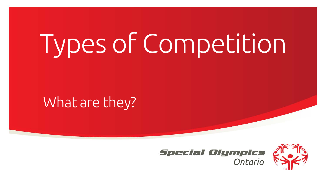### What are they?



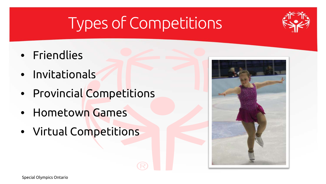- Friendlies
- Invitationals
- Provincial Competitions
- Hometown Games
- Virtual Competitions

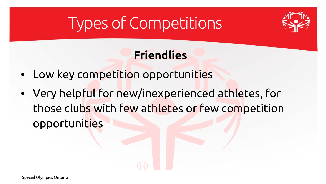

### **Friendlies**

- Low key competition opportunities
- Very helpful for new/inexperienced athletes, for those clubs with few athletes or few competition opportunities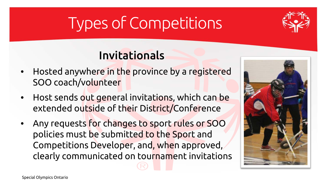

### Invitationals

- Hosted anywhere in the province by a registered SOO coach/volunteer
- Host sends out general invitations, which can be extended outside of their District/Conference
- Any requests for changes to sport rules or SOO policies must be submitted to the Sport and Competitions Developer, and, when approved, clearly communicated on tournament invitations

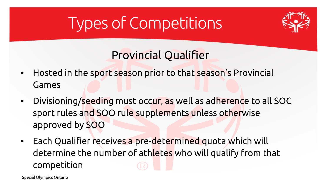

### Provincial Qualifier

- Hosted in the sport season prior to that season's Provincial Games
- Divisioning/seeding must occur, as well as adherence to all SOC sport rules and SOO rule supplements unless otherwise approved by SOO
- Each Qualifier receives a pre-determined quota which will determine the number of athletes who will qualify from that competition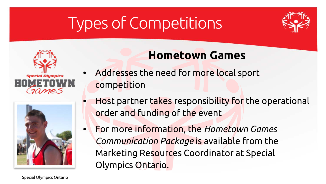





### **Hometown Games**

- Addresses the need for more local sport competition
- Host partner takes responsibility for the operational order and funding of the event
- For more information, the *Hometown Games Communication Package* is available from the Marketing Resources Coordinator at Special Olympics Ontario.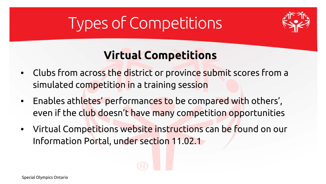

### **Virtual Competitions**

- Clubs from across the district or province submit scores from a simulated competition in a training session
- Enables athletes' performances to be compared with others', even if the club doesn't have many competition opportunities
- Virtual Competitions website instructions can be found on our Information Portal, under section 11.02.1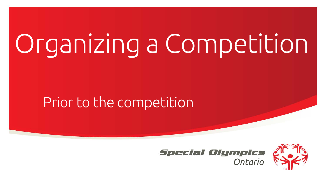### Prior to the competition



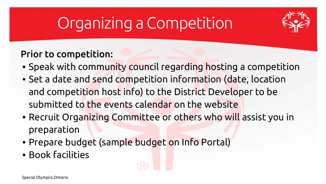

#### Prior to competition:

- Speak with community council regarding hosting a competition
- Set a date and send competition information (date, location and competition host info) to the District Developer to be submitted to the events calendar on the website
- Recruit Organizing Committee or others who will assist you in preparation
- Prepare budget (sample budget on Info Portal)
- Book facilities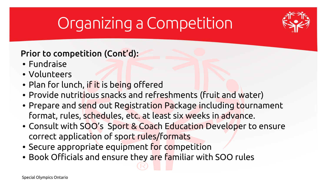

#### Prior to competition (Cont'd):

- Fundraise
- Volunteers
- Plan for lunch, if it is being offered
- Provide nutritious snacks and refreshments (fruit and water)
- Prepare and send out Registration Package including tournament format, rules, schedules, etc. at least six weeks in advance.
- Consult with SOO's Sport & Coach Education Developer to ensure correct application of sport rules/formats
- Secure appropriate equipment for competition
- Book Officials and ensure they are familiar with SOO rules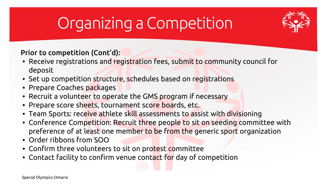

Prior to competition (Cont'd):

- Receive registrations and registration fees, submit to community council for deposit
- Set up competition structure, schedules based on registrations
- Prepare Coaches packages
- Recruit a volunteer to operate the GMS program if necessary
- Prepare score sheets, tournament score boards, etc.
- Team Sports: receive athlete skill assessments to assist with divisioning
- Conference Competition: Recruit three people to sit on seeding committee with preference of at least one member to be from the generic sport organization
- Order ribbons from SOO
- Confirm three volunteers to sit on protest committee
- Contact facility to confirm venue contact for day of competition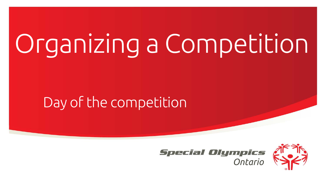### Day of the competition



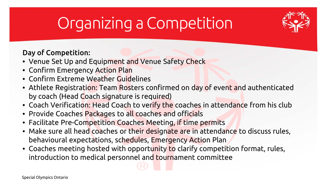

#### Day of Competition:

- Venue Set Up and Equipment and Venue Safety Check
- Confirm Emergency Action Plan
- Confirm Extreme Weather Guidelines
- Athlete Registration: Team Rosters confirmed on day of event and authenticated by coach (Head Coach signature is required)
- Coach Verification: Head Coach to verify the coaches in attendance from his club
- Provide Coaches Packages to all coaches and officials
- Facilitate Pre-Competition Coaches Meeting, if time permits
- Make sure all head coaches or their designate are in attendance to discuss rules, behavioural expectations, schedules, Emergency Action Plan
- Coaches meeting hosted with opportunity to clarify competition format, rules, introduction to medical personnel and tournament committee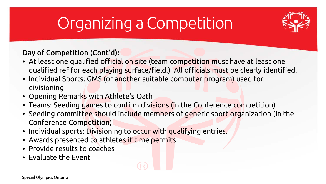

Day of Competition (Cont'd):

- At least one qualified official on site (team competition must have at least one qualified ref for each playing surface/field.) All officials must be clearly identified.
- Individual Sports: GMS (or another suitable computer program) used for divisioning
- Opening Remarks with Athlete's Oath
- Teams: Seeding games to confirm divisions (in the Conference competition)
- Seeding committee should include members of generic sport organization (in the Conference Competition)
- Individual sports: Divisioning to occur with qualifying entries.
- Awards presented to athletes if time permits
- Provide results to coaches
- Evaluate the Event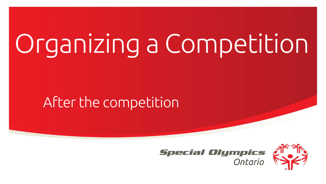### After the competition



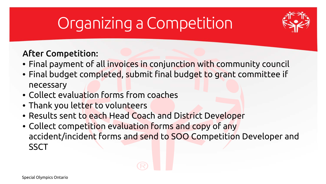

#### After Competition:

- Final payment of all invoices in conjunction with community council
- Final budget completed, submit final budget to grant committee if necessary
- Collect evaluation forms from coaches
- Thank you letter to volunteers
- Results sent to each Head Coach and District Developer
- Collect competition evaluation forms and copy of any accident/incident forms and send to SOO Competition Developer and **SSCT**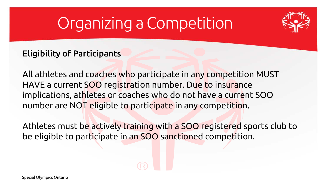

#### Eligibility of Participants

All athletes and coaches who participate in any competition MUST HAVE a current SOO registration number. Due to insurance implications, athletes or coaches who do not have a current SOO number are NOT eligible to participate in any competition.

Athletes must be actively training with a SOO registered sports club to be eligible to participate in an SOO sanctioned competition.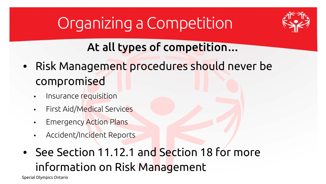

### At all types of competition…

- Risk Management procedures should never be compromised
	- Insurance requisition
	- First Aid/Medical Services
	- **Emergency Action Plans**
	- Accident/Incident Reports
- See Section 11.12.1 and Section 18 for more information on Risk Management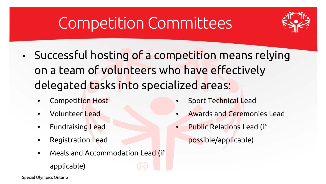

- Successful hosting of a competition means relying on a team of volunteers who have effectively delegated tasks into specialized areas:
	- Competition Host
	- Volunteer Lead
	- Fundraising Lead
	- Registration Lead

applicable)

Meals and Accommodation Lead (if

- Sport Technical Lead
- Awards and Ceremonies Lead
- Public Relations Lead (if possible/applicable)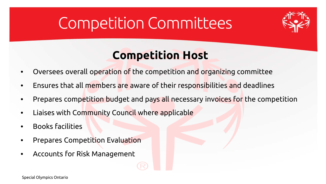

### **Competition Host**

- Oversees overall operation of the competition and organizing committee
- Ensures that all members are aware of their responsibilities and deadlines
- Prepares competition budget and pays all necessary invoices for the competition
- Liaises with Community Council where applicable
- Books facilities
- Prepares Competition Evaluation
- Accounts for Risk Management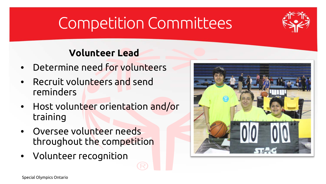

#### **Volunteer Lead**

- Determine need for volunteers
- Recruit volunteers and send reminders
- Host volunteer orientation and/or training
- Oversee volunteer needs throughout the competition
- Volunteer recognition

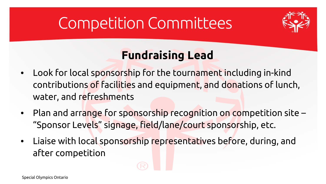

### **Fundraising Lead**

- Look for local sponsorship for the tournament including in-kind contributions of facilities and equipment, and donations of lunch, water, and refreshments
- Plan and arrange for sponsorship recognition on competition site "Sponsor Levels" signage, field/lane/court sponsorship, etc.
- Liaise with local sponsorship representatives before, during, and after competition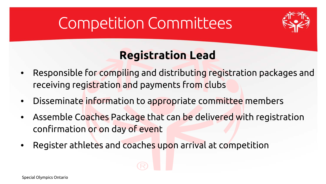

### **Registration Lead**

- Responsible for compiling and distributing registration packages and receiving registration and payments from clubs
- Disseminate information to appropriate committee members
- Assemble Coaches Package that can be delivered with registration confirmation or on day of event
- Register athletes and coaches upon arrival at competition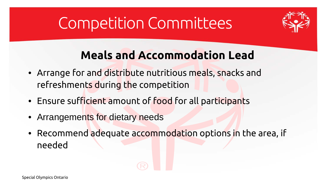

### **Meals and Accommodation Lead**

- Arrange for and distribute nutritious meals, snacks and refreshments during the competition
- Ensure sufficient amount of food for all participants
- Arrangements for dietary needs
- Recommend adequate accommodation options in the area, if needed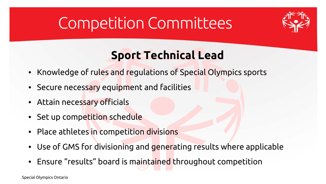

### **Sport Technical Lead**

- Knowledge of rules and regulations of Special Olympics sports
- Secure necessary equipment and facilities
- Attain necessary officials
- Set up competition schedule
- Place athletes in competition divisions
- Use of GMS for divisioning and generating results where applicable
- Ensure "results" board is maintained throughout competition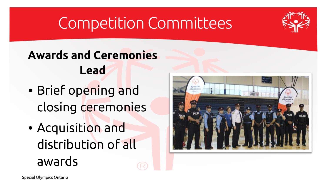

### **Awards and Ceremonies Lead**

- Brief opening and closing ceremonies
- Acquisition and distribution of all awards

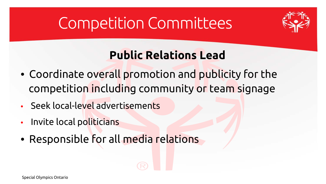

### **Public Relations Lead**

- Coordinate overall promotion and publicity for the competition including community or team signage
- Seek local-level advertisements
- Invite local politicians
- Responsible for all media relations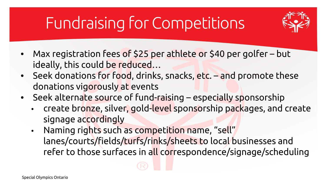# Fundraising for Competitions



- Max registration fees of \$25 per athlete or \$40 per golfer but ideally, this could be reduced…
- Seek donations for food, drinks, snacks, etc. and promote these donations vigorously at events
- Seek alternate source of fund-raising especially sponsorship
	- create bronze, silver, gold-level sponsorship packages, and create signage accordingly
	- Naming rights such as competition name, "sell" lanes/courts/fields/turfs/rinks/sheets to local businesses and refer to those surfaces in all correspondence/signage/scheduling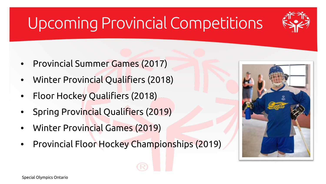# Upcoming Provincial Competitions



- Provincial Summer Games (2017)
- Winter Provincial Qualifiers (2018)
- Floor Hockey Qualifiers (2018)
- Spring Provincial Qualifiers (2019)
- Winter Provincial Games (2019)
- Provincial Floor Hockey Championships (2019)

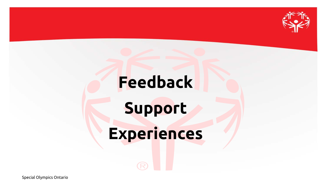

# **Feedback**

# **Support**

# **Experiences**